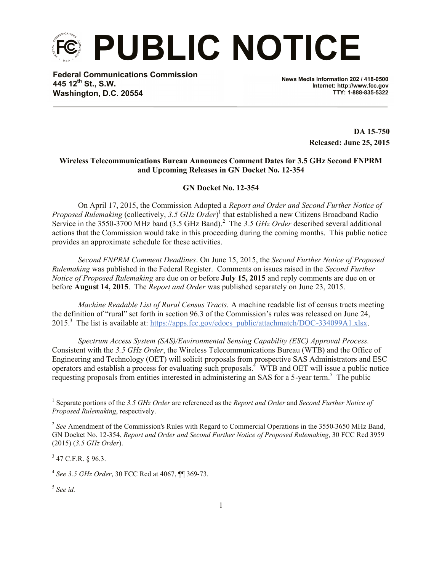

**Federal Communications Commission 445 12th St., S.W. Washington, D.C. 20554**

**News Media Information 202 / 418-0500 Internet: http://www.fcc.gov TTY: 1-888-835-5322**

> **DA 15-750 Released: June 25, 2015**

## **Wireless Telecommunications Bureau Announces Comment Dates for 3.5 GHz Second FNPRM and Upcoming Releases in GN Docket No. 12-354**

**GN Docket No. 12-354**

On April 17, 2015, the Commission Adopted a *Report and Order and Second Further Notice of Proposed Rulemaking* (collectively, *3.5 GHz Order*) 1 that established a new Citizens Broadband Radio Service in the 3550-3700 MHz band (3.5 GHz Band). 2 The *3.5 GHz Order* described several additional actions that the Commission would take in this proceeding during the coming months. This public notice provides an approximate schedule for these activities.

*Second FNPRM Comment Deadlines*. On June 15, 2015, the *Second Further Notice of Proposed Rulemaking* was published in the Federal Register. Comments on issues raised in the *Second Further Notice of Proposed Rulemaking* are due on or before **July 15, 2015** and reply comments are due on or before **August 14, 2015**. The *Report and Order* was published separately on June 23, 2015.

*Machine Readable List of Rural Census Tracts.* A machine readable list of census tracts meeting the definition of "rural" set forth in section 96.3 of the Commission's rules was released on June 24, 2015.<sup>3</sup> The list is available at: https://apps.fcc.gov/edocs\_public/attachmatch/DOC-334099A1.xlsx.

*Spectrum Access System (SAS)/Environmental Sensing Capability (ESC) Approval Process.* Consistent with the *3.5 GHz Order*, the Wireless Telecommunications Bureau (WTB) and the Office of Engineering and Technology (OET) will solicit proposals from prospective SAS Administrators and ESC operators and establish a process for evaluating such proposals. <sup>4</sup> WTB and OET will issue a public notice requesting proposals from entities interested in administering an SAS for a 5-year term.<sup>5</sup> The public

 $3$  47 C.F.R. § 96.3.

l

<sup>1</sup> Separate portions of the *3.5 GHz Order* are referenced as the *Report and Order* and *Second Further Notice of Proposed Rulemaking*, respectively.

<sup>&</sup>lt;sup>2</sup> See Amendment of the Commission's Rules with Regard to Commercial Operations in the 3550-3650 MHz Band, GN Docket No. 12-354, *Report and Order and Second Further Notice of Proposed Rulemaking*, 30 FCC Rcd 3959 (2015) (*3.5 GHz Order*).

<sup>4</sup> *See 3.5 GHz Order*, 30 FCC Rcd at 4067, ¶¶ 369-73.

<sup>5</sup> *See id.*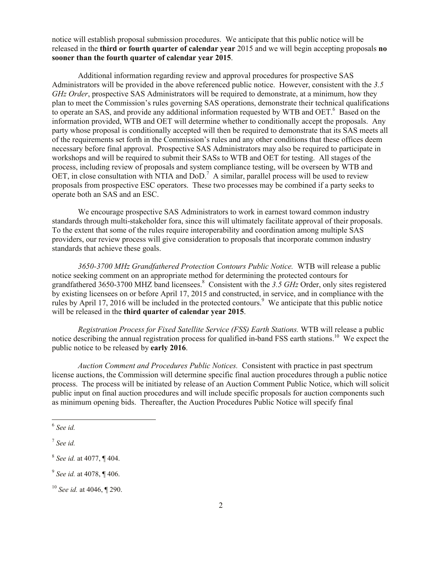notice will establish proposal submission procedures. We anticipate that this public notice will be released in the **third or fourth quarter of calendar year** 2015 and we will begin accepting proposals **no sooner than the fourth quarter of calendar year 2015**.

Additional information regarding review and approval procedures for prospective SAS Administrators will be provided in the above referenced public notice. However, consistent with the *3.5 GHz Order*, prospective SAS Administrators will be required to demonstrate, at a minimum, how they plan to meet the Commission's rules governing SAS operations, demonstrate their technical qualifications to operate an SAS, and provide any additional information requested by WTB and OET.<sup>6</sup> Based on the information provided, WTB and OET will determine whether to conditionally accept the proposals. Any party whose proposal is conditionally accepted will then be required to demonstrate that its SAS meets all of the requirements set forth in the Commission's rules and any other conditions that these offices deem necessary before final approval. Prospective SAS Administrators may also be required to participate in workshops and will be required to submit their SASs to WTB and OET for testing. All stages of the process, including review of proposals and system compliance testing, will be overseen by WTB and  $\overline{OET}$ , in close consultation with NTIA and  $\overline{DoD}$ .<sup>7</sup> A similar, parallel process will be used to review proposals from prospective ESC operators. These two processes may be combined if a party seeks to operate both an SAS and an ESC.

We encourage prospective SAS Administrators to work in earnest toward common industry standards through multi-stakeholder fora, since this will ultimately facilitate approval of their proposals. To the extent that some of the rules require interoperability and coordination among multiple SAS providers, our review process will give consideration to proposals that incorporate common industry standards that achieve these goals.

*3650-3700 MHz Grandfathered Protection Contours Public Notice.* WTB will release a public notice seeking comment on an appropriate method for determining the protected contours for grandfathered 3650-3700 MHZ band licensees.<sup>8</sup> Consistent with the 3.5 GHz Order, only sites registered by existing licensees on or before April 17, 2015 and constructed, in service, and in compliance with the rules by April 17, 2016 will be included in the protected contours.<sup>9</sup> We anticipate that this public notice will be released in the **third quarter of calendar year 2015**.

*Registration Process for Fixed Satellite Service (FSS) Earth Stations.* WTB will release a public notice describing the annual registration process for qualified in-band FSS earth stations.<sup>10</sup> We expect the public notice to be released by **early 2016**.

*Auction Comment and Procedures Public Notices.* Consistent with practice in past spectrum license auctions, the Commission will determine specific final auction procedures through a public notice process. The process will be initiated by release of an Auction Comment Public Notice, which will solicit public input on final auction procedures and will include specific proposals for auction components such as minimum opening bids. Thereafter, the Auction Procedures Public Notice will specify final

l

<sup>6</sup> *See id.*

<sup>7</sup> *See id.*

<sup>8</sup> *See id.* at 4077, ¶ 404.

<sup>9</sup> *See id.* at 4078, ¶ 406.

<sup>10</sup> *See id.* at 4046, ¶ 290.